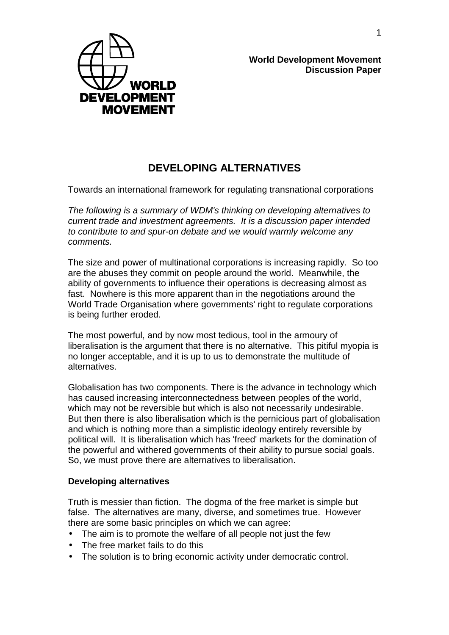

**World Development Movement Discussion Paper**

# **DEVELOPING ALTERNATIVES**

Towards an international framework for regulating transnational corporations

*The following is a summary of WDM's thinking on developing alternatives to current trade and investment agreements. It is a discussion paper intended to contribute to and spur-on debate and we would warmly welcome any comments.*

The size and power of multinational corporations is increasing rapidly. So too are the abuses they commit on people around the world. Meanwhile, the ability of governments to influence their operations is decreasing almost as fast. Nowhere is this more apparent than in the negotiations around the World Trade Organisation where governments' right to regulate corporations is being further eroded.

The most powerful, and by now most tedious, tool in the armoury of liberalisation is the argument that there is no alternative. This pitiful myopia is no longer acceptable, and it is up to us to demonstrate the multitude of alternatives.

Globalisation has two components. There is the advance in technology which has caused increasing interconnectedness between peoples of the world, which may not be reversible but which is also not necessarily undesirable. But then there is also liberalisation which is the pernicious part of globalisation and which is nothing more than a simplistic ideology entirely reversible by political will. It is liberalisation which has 'freed' markets for the domination of the powerful and withered governments of their ability to pursue social goals. So, we must prove there are alternatives to liberalisation.

### **Developing alternatives**

Truth is messier than fiction. The dogma of the free market is simple but false. The alternatives are many, diverse, and sometimes true. However there are some basic principles on which we can agree:

- The aim is to promote the welfare of all people not just the few
- The free market fails to do this
- The solution is to bring economic activity under democratic control.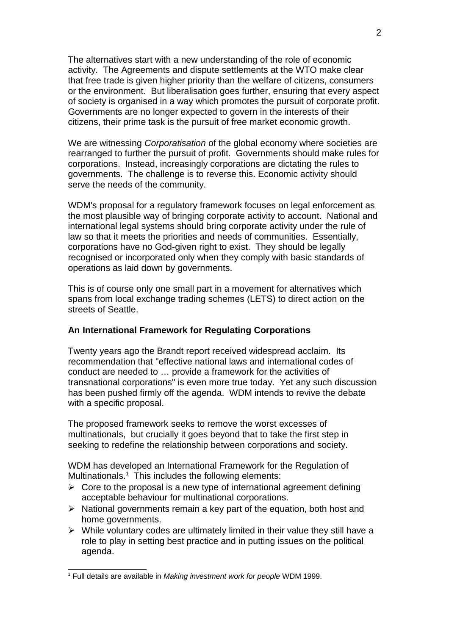The alternatives start with a new understanding of the role of economic activity. The Agreements and dispute settlements at the WTO make clear that free trade is given higher priority than the welfare of citizens, consumers or the environment. But liberalisation goes further, ensuring that every aspect of society is organised in a way which promotes the pursuit of corporate profit. Governments are no longer expected to govern in the interests of their citizens, their prime task is the pursuit of free market economic growth.

We are witnessing *Corporatisation* of the global economy where societies are rearranged to further the pursuit of profit. Governments should make rules for corporations. Instead, increasingly corporations are dictating the rules to governments. The challenge is to reverse this. Economic activity should serve the needs of the community.

WDM's proposal for a regulatory framework focuses on legal enforcement as the most plausible way of bringing corporate activity to account. National and international legal systems should bring corporate activity under the rule of law so that it meets the priorities and needs of communities. Essentially, corporations have no God-given right to exist. They should be legally recognised or incorporated only when they comply with basic standards of operations as laid down by governments.

This is of course only one small part in a movement for alternatives which spans from local exchange trading schemes (LETS) to direct action on the streets of Seattle.

### **An International Framework for Regulating Corporations**

Twenty years ago the Brandt report received widespread acclaim. Its recommendation that "effective national laws and international codes of conduct are needed to … provide a framework for the activities of transnational corporations" is even more true today. Yet any such discussion has been pushed firmly off the agenda. WDM intends to revive the debate with a specific proposal.

The proposed framework seeks to remove the worst excesses of multinationals, but crucially it goes beyond that to take the first step in seeking to redefine the relationship between corporations and society.

WDM has developed an International Framework for the Regulation of Multinationals. $<sup>1</sup>$  $<sup>1</sup>$  $<sup>1</sup>$  This includes the following elements:</sup>

- $\triangleright$  Core to the proposal is a new type of international agreement defining acceptable behaviour for multinational corporations.
- $\triangleright$  National governments remain a key part of the equation, both host and home governments.
- $\triangleright$  While voluntary codes are ultimately limited in their value they still have a role to play in setting best practice and in putting issues on the political agenda.

<span id="page-1-0"></span><sup>1</sup> Full details are available in *Making investment work for people* WDM 1999.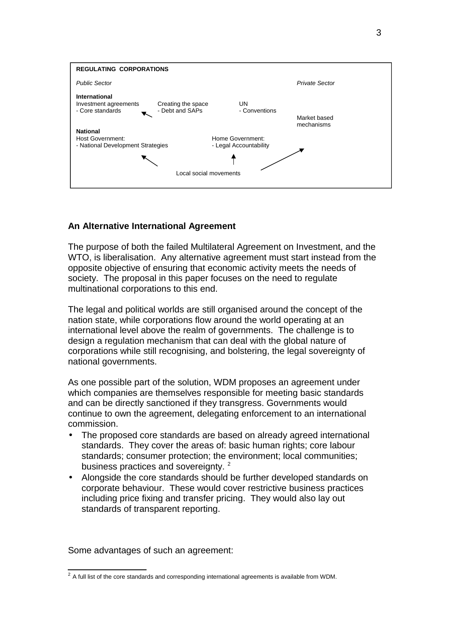

## **An Alternative International Agreement**

The purpose of both the failed Multilateral Agreement on Investment, and the WTO, is liberalisation. Any alternative agreement must start instead from the opposite objective of ensuring that economic activity meets the needs of society. The proposal in this paper focuses on the need to regulate multinational corporations to this end.

The legal and political worlds are still organised around the concept of the nation state, while corporations flow around the world operating at an international level above the realm of governments. The challenge is to design a regulation mechanism that can deal with the global nature of corporations while still recognising, and bolstering, the legal sovereignty of national governments.

As one possible part of the solution, WDM proposes an agreement under which companies are themselves responsible for meeting basic standards and can be directly sanctioned if they transgress. Governments would continue to own the agreement, delegating enforcement to an international commission.

- The proposed core standards are based on already agreed international standards. They cover the areas of: basic human rights; core labour standards; consumer protection; the environment; local communities; business practices and sovereignty.<sup>[2](#page-2-0)</sup>
- Alongside the core standards should be further developed standards on corporate behaviour. These would cover restrictive business practices including price fixing and transfer pricing. They would also lay out standards of transparent reporting.

Some advantages of such an agreement:

<span id="page-2-0"></span> $2$  A full list of the core standards and corresponding international agreements is available from WDM.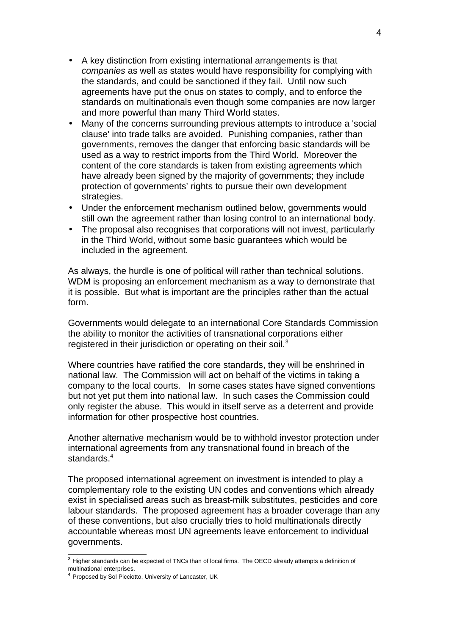- A key distinction from existing international arrangements is that *companies* as well as states would have responsibility for complying with the standards, and could be sanctioned if they fail. Until now such agreements have put the onus on states to comply, and to enforce the standards on multinationals even though some companies are now larger and more powerful than many Third World states.
- Many of the concerns surrounding previous attempts to introduce a 'social clause' into trade talks are avoided. Punishing companies, rather than governments, removes the danger that enforcing basic standards will be used as a way to restrict imports from the Third World. Moreover the content of the core standards is taken from existing agreements which have already been signed by the majority of governments; they include protection of governments' rights to pursue their own development strategies.
- Under the enforcement mechanism outlined below, governments would still own the agreement rather than losing control to an international body.
- The proposal also recognises that corporations will not invest, particularly in the Third World, without some basic guarantees which would be included in the agreement.

As always, the hurdle is one of political will rather than technical solutions. WDM is proposing an enforcement mechanism as a way to demonstrate that it is possible. But what is important are the principles rather than the actual form.

Governments would delegate to an international Core Standards Commission the ability to monitor the activities of transnational corporations either registered in their jurisdiction or operating on their soil.<sup>[3](#page-3-0)</sup>

Where countries have ratified the core standards, they will be enshrined in national law. The Commission will act on behalf of the victims in taking a company to the local courts. In some cases states have signed conventions but not yet put them into national law. In such cases the Commission could only register the abuse. This would in itself serve as a deterrent and provide information for other prospective host countries.

Another alternative mechanism would be to withhold investor protection under international agreements from any transnational found in breach of the standards.<sup>[4](#page-3-1)</sup>

The proposed international agreement on investment is intended to play a complementary role to the existing UN codes and conventions which already exist in specialised areas such as breast-milk substitutes, pesticides and core labour standards. The proposed agreement has a broader coverage than any of these conventions, but also crucially tries to hold multinationals directly accountable whereas most UN agreements leave enforcement to individual governments.

<span id="page-3-0"></span><sup>&</sup>lt;sup>3</sup> Higher standards can be expected of TNCs than of local firms. The OECD already attempts a definition of multinational enterprises.

<span id="page-3-1"></span><sup>4</sup> Proposed by Sol Picciotto, University of Lancaster, UK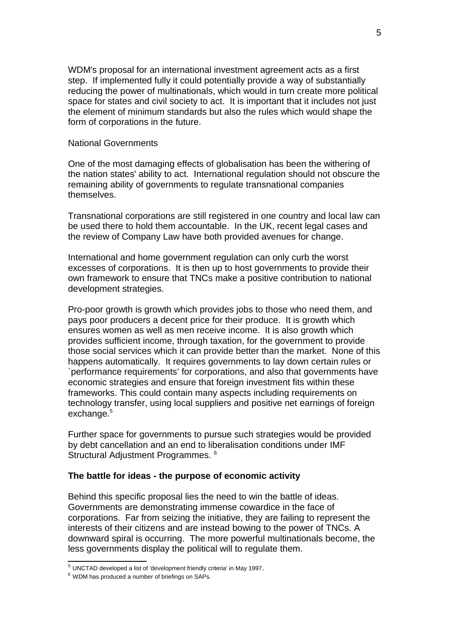WDM's proposal for an international investment agreement acts as a first step. If implemented fully it could potentially provide a way of substantially reducing the power of multinationals, which would in turn create more political space for states and civil society to act. It is important that it includes not just the element of minimum standards but also the rules which would shape the form of corporations in the future.

#### National Governments

One of the most damaging effects of globalisation has been the withering of the nation states' ability to act. International regulation should not obscure the remaining ability of governments to regulate transnational companies themselves.

Transnational corporations are still registered in one country and local law can be used there to hold them accountable. In the UK, recent legal cases and the review of Company Law have both provided avenues for change.

International and home government regulation can only curb the worst excesses of corporations. It is then up to host governments to provide their own framework to ensure that TNCs make a positive contribution to national development strategies.

Pro-poor growth is growth which provides jobs to those who need them, and pays poor producers a decent price for their produce. It is growth which ensures women as well as men receive income. It is also growth which provides sufficient income, through taxation, for the government to provide those social services which it can provide better than the market. None of this happens automatically. It requires governments to lay down certain rules or `performance requirements' for corporations, and also that governments have economic strategies and ensure that foreign investment fits within these frameworks. This could contain many aspects including requirements on technology transfer, using local suppliers and positive net earnings of foreign  $exchance.<sup>5</sup>$  $exchance.<sup>5</sup>$  $exchance.<sup>5</sup>$ 

Further space for governments to pursue such strategies would be provided by debt cancellation and an end to liberalisation conditions under IMF Structural Adjustment Programmes. [6](#page-4-1)

### **The battle for ideas - the purpose of economic activity**

Behind this specific proposal lies the need to win the battle of ideas. Governments are demonstrating immense cowardice in the face of corporations. Far from seizing the initiative, they are failing to represent the interests of their citizens and are instead bowing to the power of TNCs. A downward spiral is occurring. The more powerful multinationals become, the less governments display the political will to regulate them.

<span id="page-4-0"></span> $5$  UNCTAD developed a list of 'development friendly criteria' in May 1997.

<span id="page-4-1"></span> $6$  WDM has produced a number of briefings on SAPs.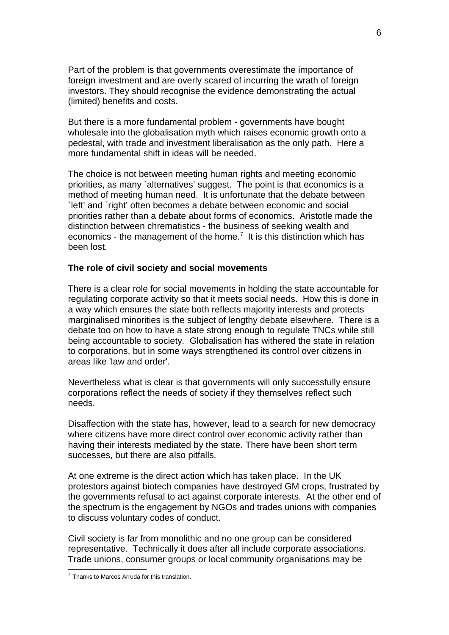Part of the problem is that governments overestimate the importance of foreign investment and are overly scared of incurring the wrath of foreign investors. They should recognise the evidence demonstrating the actual (limited) benefits and costs.

But there is a more fundamental problem - governments have bought wholesale into the globalisation myth which raises economic growth onto a pedestal, with trade and investment liberalisation as the only path. Here a more fundamental shift in ideas will be needed.

The choice is not between meeting human rights and meeting economic priorities, as many `alternatives' suggest. The point is that economics is a method of meeting human need. It is unfortunate that the debate between `left' and `right' often becomes a debate between economic and social priorities rather than a debate about forms of economics. Aristotle made the distinction between chrematistics - the business of seeking wealth and economics - the management of the home.<sup>[7](#page-5-0)</sup> It is this distinction which has been lost.

### **The role of civil society and social movements**

There is a clear role for social movements in holding the state accountable for regulating corporate activity so that it meets social needs. How this is done in a way which ensures the state both reflects majority interests and protects marginalised minorities is the subject of lengthy debate elsewhere. There is a debate too on how to have a state strong enough to regulate TNCs while still being accountable to society. Globalisation has withered the state in relation to corporations, but in some ways strengthened its control over citizens in areas like 'law and order'.

Nevertheless what is clear is that governments will only successfully ensure corporations reflect the needs of society if they themselves reflect such needs.

Disaffection with the state has, however, lead to a search for new democracy where citizens have more direct control over economic activity rather than having their interests mediated by the state. There have been short term successes, but there are also pitfalls.

At one extreme is the direct action which has taken place. In the UK protestors against biotech companies have destroyed GM crops, frustrated by the governments refusal to act against corporate interests. At the other end of the spectrum is the engagement by NGOs and trades unions with companies to discuss voluntary codes of conduct.

Civil society is far from monolithic and no one group can be considered representative. Technically it does after all include corporate associations. Trade unions, consumer groups or local community organisations may be

<span id="page-5-0"></span> $7$  Thanks to Marcos Arruda for this translation.